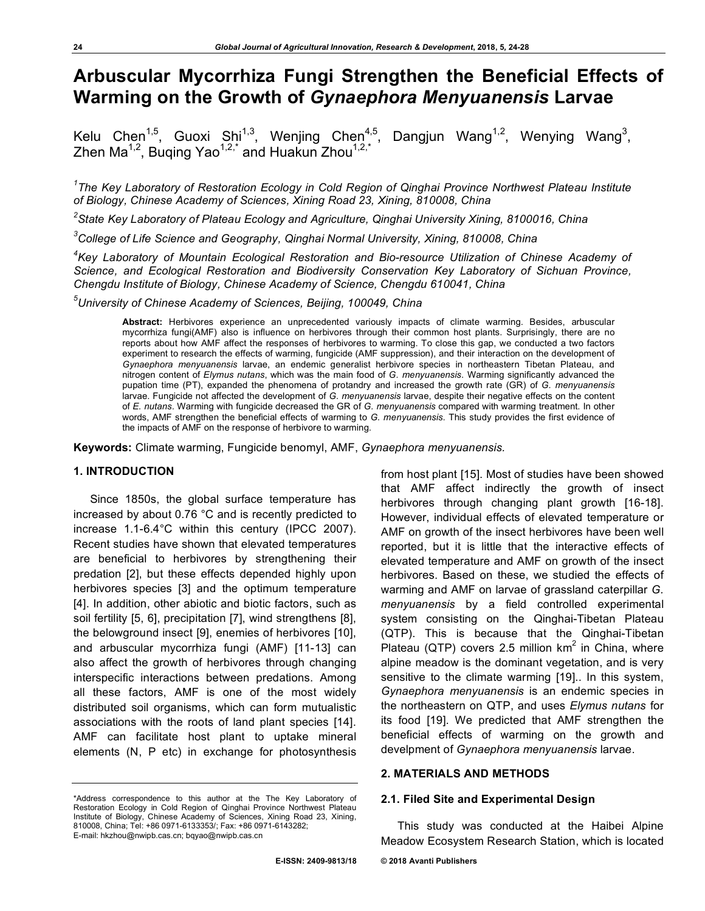# **Arbuscular Mycorrhiza Fungi Strengthen the Beneficial Effects of Warming on the Growth of** *Gynaephora Menyuanensis* **Larvae**

Kelu Chen<sup>1,5</sup>, Guoxi Shi<sup>1,3</sup>, Wenjing Chen<sup>4,5</sup>, Dangjun Wang<sup>1,2</sup>, Wenying Wang<sup>3</sup>, Zhen Ma<sup>1,2</sup>, Buqing Yao<sup>1,2,\*</sup> and Huakun Zhou<sup>1,2,\*</sup>

<sup>1</sup>The Key Laboratory of Restoration Ecology in Cold Region of Qinghai Province Northwest Plateau Institute *of Biology, Chinese Academy of Sciences, Xining Road 23, Xining, 810008, China*

*2 State Key Laboratory of Plateau Ecology and Agriculture, Qinghai University Xining, 8100016, China*

*3 College of Life Science and Geography, Qinghai Normal University, Xining, 810008, China* 

*4 Key Laboratory of Mountain Ecological Restoration and Bio-resource Utilization of Chinese Academy of Science, and Ecological Restoration and Biodiversity Conservation Key Laboratory of Sichuan Province, Chengdu Institute of Biology, Chinese Academy of Science, Chengdu 610041, China*

*5 University of Chinese Academy of Sciences, Beijing, 100049, China*

**Abstract:** Herbivores experience an unprecedented variously impacts of climate warming. Besides, arbuscular mycorrhiza fungi(AMF) also is influence on herbivores through their common host plants. Surprisingly, there are no reports about how AMF affect the responses of herbivores to warming. To close this gap, we conducted a two factors experiment to research the effects of warming, fungicide (AMF suppression), and their interaction on the development of *Gynaephora menyuanensis* larvae, an endemic generalist herbivore species in northeastern Tibetan Plateau, and nitrogen content of *Elymus nutans*, which was the main food of *G. menyuanensis*. Warming significantly advanced the pupation time (PT), expanded the phenomena of protandry and increased the growth rate (GR) of *G. menyuanensis*  larvae. Fungicide not affected the development of *G. menyuanensis* larvae, despite their negative effects on the content of *E. nutans*. Warming with fungicide decreased the GR of *G. menyuanensis* compared with warming treatment. In other words, AMF strengthen the beneficial effects of warming to *G. menyuanensis*. This study provides the first evidence of the impacts of AMF on the response of herbivore to warming.

**Keywords:** Climate warming, Fungicide benomyl, AMF, *Gynaephora menyuanensis.*

# **1. INTRODUCTION**

Since 1850s, the global surface temperature has increased by about 0.76 °C and is recently predicted to increase 1.1-6.4°C within this century (IPCC 2007). Recent studies have shown that elevated temperatures are beneficial to herbivores by strengthening their predation [2], but these effects depended highly upon herbivores species [3] and the optimum temperature [4]. In addition, other abiotic and biotic factors, such as soil fertility [5, 6], precipitation [7], wind strengthens [8], the belowground insect [9], enemies of herbivores [10], and arbuscular mycorrhiza fungi (AMF) [11-13] can also affect the growth of herbivores through changing interspecific interactions between predations. Among all these factors, AMF is one of the most widely distributed soil organisms, which can form mutualistic associations with the roots of land plant species [14]. AMF can facilitate host plant to uptake mineral elements (N, P etc) in exchange for photosynthesis

from host plant [15]. Most of studies have been showed that AMF affect indirectly the growth of insect herbivores through changing plant growth [16-18]. However, individual effects of elevated temperature or AMF on growth of the insect herbivores have been well reported, but it is little that the interactive effects of elevated temperature and AMF on growth of the insect herbivores. Based on these, we studied the effects of warming and AMF on larvae of grassland caterpillar *G. menyuanensis* by a field controlled experimental system consisting on the Qinghai-Tibetan Plateau (QTP). This is because that the Qinghai-Tibetan Plateau (QTP) covers 2.5 million  $km^2$  in China, where alpine meadow is the dominant vegetation, and is very sensitive to the climate warming [19].. In this system, *Gynaephora menyuanensis* is an endemic species in the northeastern on QTP, and uses *Elymus nutans* for its food [19]. We predicted that AMF strengthen the beneficial effects of warming on the growth and develpment of *Gynaephora menyuanensis* larvae.

# **2. MATERIALS AND METHODS**

#### **2.1. Filed Site and Experimental Design**

This study was conducted at the Haibei Alpine Meadow Ecosystem Research Station, which is located

<sup>\*</sup>Address correspondence to this author at the The Key Laboratory of Restoration Ecology in Cold Region of Qinghai Province Northwest Plateau Institute of Biology, Chinese Academy of Sciences, Xining Road 23, Xining, 810008, China; Tel: +86 0971-6133353/; Fax: +86 0971-6143282; E-mail: hkzhou@nwipb.cas.cn; bqyao@nwipb.cas.cn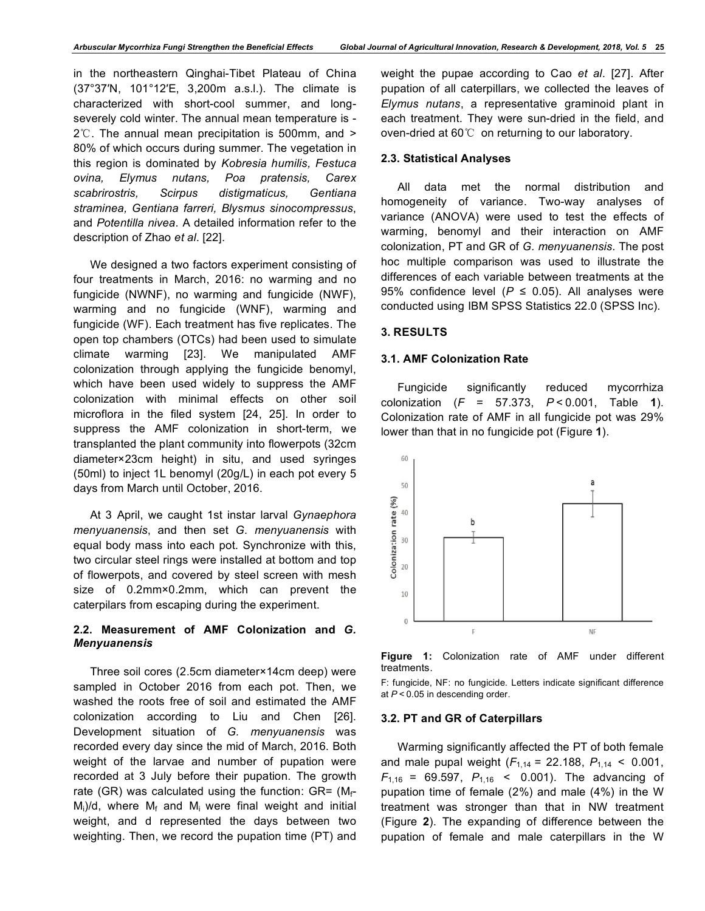in the northeastern Qinghai-Tibet Plateau of China (37°37′N, 101°12′E, 3,200m a.s.l.). The climate is characterized with short-cool summer, and longseverely cold winter. The annual mean temperature is - 2℃. The annual mean precipitation is 500mm, and > 80% of which occurs during summer. The vegetation in this region is dominated by *Kobresia humilis, Festuca ovina, Elymus nutans, Poa pratensis, Carex scabrirostris, Scirpus distigmaticus, Gentiana straminea, Gentiana farreri, Blysmus sinocompressus*, and *Potentilla nivea*. A detailed information refer to the description of Zhao *et al*. [22].

We designed a two factors experiment consisting of four treatments in March, 2016: no warming and no fungicide (NWNF), no warming and fungicide (NWF), warming and no fungicide (WNF), warming and fungicide (WF). Each treatment has five replicates. The open top chambers (OTCs) had been used to simulate climate warming [23]. We manipulated AMF colonization through applying the fungicide benomyl, which have been used widely to suppress the AMF colonization with minimal effects on other soil microflora in the filed system [24, 25]. In order to suppress the AMF colonization in short-term, we transplanted the plant community into flowerpots (32cm diameter×23cm height) in situ, and used syringes (50ml) to inject 1L benomyl (20g/L) in each pot every 5 days from March until October, 2016.

At 3 April, we caught 1st instar larval *Gynaephora menyuanensis*, and then set *G. menyuanensis* with equal body mass into each pot. Synchronize with this, two circular steel rings were installed at bottom and top of flowerpots, and covered by steel screen with mesh size of 0.2mm×0.2mm, which can prevent the caterpilars from escaping during the experiment.

# **2.2. Measurement of AMF Colonization and** *G. Menyuanensis*

Three soil cores (2.5cm diameter×14cm deep) were sampled in October 2016 from each pot. Then, we washed the roots free of soil and estimated the AMF colonization according to Liu and Chen [26]. Development situation of *G. menyuanensis* was recorded every day since the mid of March, 2016. Both weight of the larvae and number of pupation were recorded at 3 July before their pupation. The growth rate (GR) was calculated using the function: GR=  $(M_f$ - $M_i/d$ , where  $M_f$  and  $M_i$  were final weight and initial weight, and d represented the days between two weighting. Then, we record the pupation time (PT) and

weight the pupae according to Cao *et al*. [27]. After pupation of all caterpillars, we collected the leaves of *Elymus nutans*, a representative graminoid plant in each treatment. They were sun-dried in the field, and oven-dried at 60℃ on returning to our laboratory.

# **2.3. Statistical Analyses**

All data met the normal distribution and homogeneity of variance. Two-way analyses of variance (ANOVA) were used to test the effects of warming, benomyl and their interaction on AMF colonization, PT and GR of *G. menyuanensis*. The post hoc multiple comparison was used to illustrate the differences of each variable between treatments at the 95% confidence level  $(P \le 0.05)$ . All analyses were conducted using IBM SPSS Statistics 22.0 (SPSS Inc).

# **3. RESULTS**

# **3.1. AMF Colonization Rate**

Fungicide significantly reduced mycorrhiza colonization (*F* = 57.373, *P*<0.001, Table **1**). Colonization rate of AMF in all fungicide pot was 29% lower than that in no fungicide pot (Figure **1**).





F: fungicide, NF: no fungicide. Letters indicate significant difference at *P*<0.05 in descending order.

#### **3.2. PT and GR of Caterpillars**

Warming significantly affected the PT of both female and male pupal weight  $(F_{1,14} = 22.188, P_{1,14} < 0.001,$  $F_{1,16}$  = 69.597,  $P_{1,16}$  < 0.001). The advancing of pupation time of female (2%) and male (4%) in the W treatment was stronger than that in NW treatment (Figure **2**). The expanding of difference between the pupation of female and male caterpillars in the W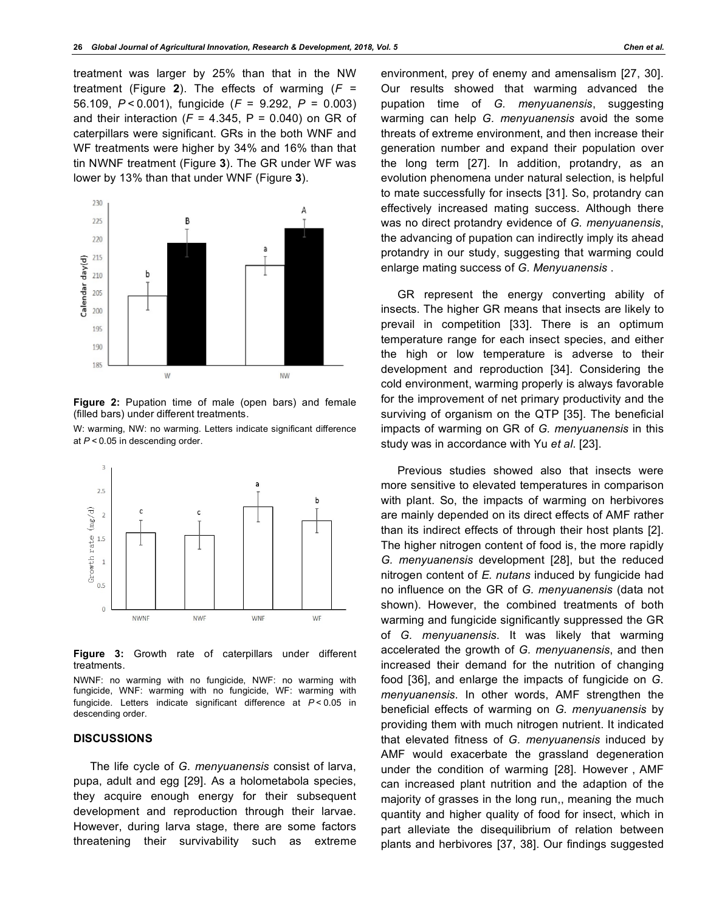treatment was larger by 25% than that in the NW treatment (Figure **2**). The effects of warming (*F* = 56.109, *P*<0.001), fungicide (*F* = 9.292, *P* = 0.003) and their interaction  $(F = 4.345, P = 0.040)$  on GR of caterpillars were significant. GRs in the both WNF and WF treatments were higher by 34% and 16% than that tin NWNF treatment (Figure **3**). The GR under WF was lower by 13% than that under WNF (Figure **3**).



**Figure 2:** Pupation time of male (open bars) and female (filled bars) under different treatments.

W: warming, NW: no warming. Letters indicate significant difference at *P*<0.05 in descending order.



**Figure 3:** Growth rate of caterpillars under different treatments.

NWNF: no warming with no fungicide, NWF: no warming with fungicide, WNF: warming with no fungicide, WF: warming with fungicide. Letters indicate significant difference at *P*<0.05 in descending order.

#### **DISCUSSIONS**

The life cycle of *G. menyuanensis* consist of larva, pupa, adult and egg [29]. As a holometabola species, they acquire enough energy for their subsequent development and reproduction through their larvae. However, during larva stage, there are some factors threatening their survivability such as extreme environment, prey of enemy and amensalism [27, 30]. Our results showed that warming advanced the pupation time of *G. menyuanensis*, suggesting warming can help *G. menyuanensis* avoid the some threats of extreme environment, and then increase their generation number and expand their population over the long term [27]. In addition, protandry, as an evolution phenomena under natural selection, is helpful to mate successfully for insects [31]. So, protandry can effectively increased mating success. Although there was no direct protandry evidence of *G. menyuanensis*, the advancing of pupation can indirectly imply its ahead protandry in our study, suggesting that warming could enlarge mating success of *G. Menyuanensis* .

GR represent the energy converting ability of insects. The higher GR means that insects are likely to prevail in competition [33]. There is an optimum temperature range for each insect species, and either the high or low temperature is adverse to their development and reproduction [34]. Considering the cold environment, warming properly is always favorable for the improvement of net primary productivity and the surviving of organism on the QTP [35]. The beneficial impacts of warming on GR of *G. menyuanensis* in this study was in accordance with Yu *et al*. [23].

Previous studies showed also that insects were more sensitive to elevated temperatures in comparison with plant. So, the impacts of warming on herbivores are mainly depended on its direct effects of AMF rather than its indirect effects of through their host plants [2]. The higher nitrogen content of food is, the more rapidly *G. menyuanensis* development [28], but the reduced nitrogen content of *E. nutans* induced by fungicide had no influence on the GR of *G. menyuanensis* (data not shown). However, the combined treatments of both warming and fungicide significantly suppressed the GR of *G. menyuanensis*. It was likely that warming accelerated the growth of *G. menyuanensis*, and then increased their demand for the nutrition of changing food [36], and enlarge the impacts of fungicide on *G. menyuanensis*. In other words, AMF strengthen the beneficial effects of warming on *G. menyuanensis* by providing them with much nitrogen nutrient. It indicated that elevated fitness of *G. menyuanensis* induced by AMF would exacerbate the grassland degeneration under the condition of warming [28]. However, AMF can increased plant nutrition and the adaption of the majority of grasses in the long run,, meaning the much quantity and higher quality of food for insect, which in part alleviate the disequilibrium of relation between plants and herbivores [37, 38]. Our findings suggested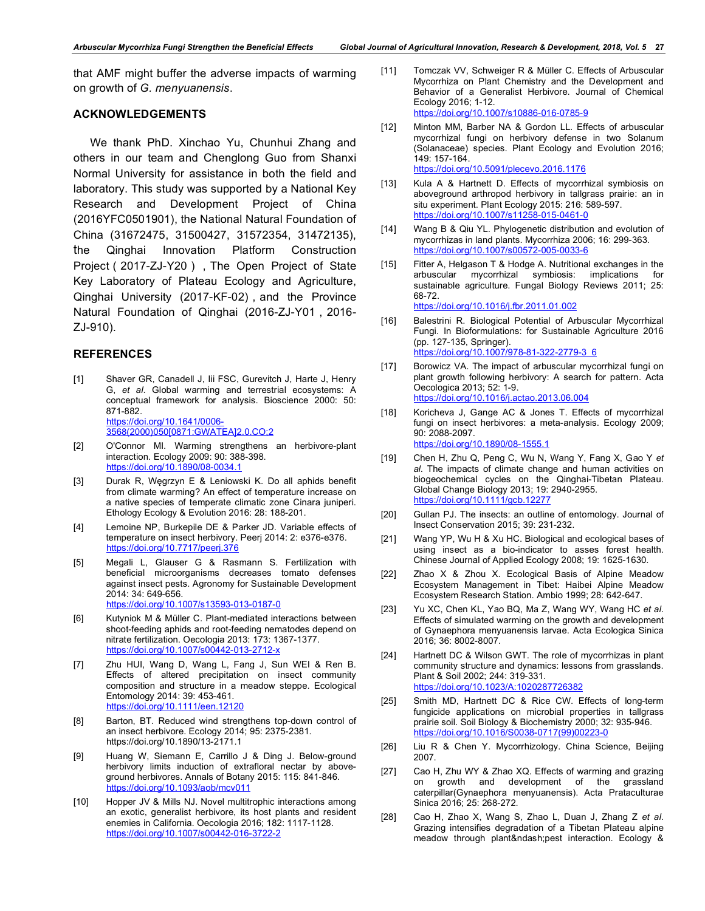that AMF might buffer the adverse impacts of warming on growth of *G. menyuanensis*.

## **ACKNOWLEDGEMENTS**

We thank PhD. Xinchao Yu, Chunhui Zhang and others in our team and Chenglong Guo from Shanxi Normal University for assistance in both the field and laboratory. This study was supported by a National Key Research and Development Project of China (2016YFC0501901), the National Natural Foundation of China (31672475, 31500427, 31572354, 31472135), the Qinghai Innovation Platform Construction Project (2017-ZJ-Y20), The Open Project of State Key Laboratory of Plateau Ecology and Agriculture, Qinghai University (2017-KF-02), and the Province Natural Foundation of Qinghai (2016-ZJ-Y01, 2016-ZJ-910).

### **REFERENCES**

- [1] Shaver GR, Canadell J, lii FSC, Gurevitch J, Harte J, Henry G, *et al*. Global warming and terrestrial ecosystems: A conceptual framework for analysis. Bioscience 2000: 50: 871-882. https://doi.org/10.1641/0006- 3568(2000)050[0871:GWATEA]2.0.CO;2
- [2] O'Connor MI. Warming strengthens an herbivore-plant interaction. Ecology 2009: 90: 388-398. https://doi.org/10.1890/08-0034.1
- [3] Durak R, Węgrzyn E & Leniowski K. Do all aphids benefit from climate warming? An effect of temperature increase on a native species of temperate climatic zone Cinara juniperi. Ethology Ecology & Evolution 2016: 28: 188-201.
- [4] Lemoine NP, Burkepile DE & Parker JD. Variable effects of temperature on insect herbivory. Peerj 2014: 2: e376-e376. https://doi.org/10.7717/peerj.376
- [5] Megali L, Glauser G & Rasmann S. Fertilization with beneficial microorganisms decreases tomato defenses against insect pests. Agronomy for Sustainable Development 2014: 34: 649-656. https://doi.org/10.1007/s13593-013-0187-0
- [6] Kutyniok M & Müller C. Plant-mediated interactions between shoot-feeding aphids and root-feeding nematodes depend on nitrate fertilization. Oecologia 2013: 173: 1367-1377. https://doi.org/10.1007/s00442-013-2712-x
- [7] Zhu HUI, Wang D, Wang L, Fang J, Sun WEI & Ren B. Effects of altered precipitation on insect community composition and structure in a meadow steppe. Ecological Entomology 2014: 39: 453-461. https://doi.org/10.1111/een.12120
- [8] Barton, BT. Reduced wind strengthens top-down control of an insect herbivore. Ecology 2014; 95: 2375-2381. https://doi.org/10.1890/13-2171.1
- [9] Huang W, Siemann E, Carrillo J & Ding J. Below-ground herbivory limits induction of extrafloral nectar by aboveground herbivores. Annals of Botany 2015: 115: 841-846. https://doi.org/10.1093/aob/mcv011
- [10] Hopper JV & Mills NJ. Novel multitrophic interactions among an exotic, generalist herbivore, its host plants and resident enemies in California. Oecologia 2016; 182: 1117-1128. https://doi.org/10.1007/s00442-016-3722-2
- [11] Tomczak VV, Schweiger R & Müller C. Effects of Arbuscular Mycorrhiza on Plant Chemistry and the Development and Behavior of a Generalist Herbivore. Journal of Chemical Ecology 2016; 1-12. https://doi.org/10.1007/s10886-016-0785-9
- [12] Minton MM, Barber NA & Gordon LL. Effects of arbuscular mycorrhizal fungi on herbivory defense in two Solanum (Solanaceae) species. Plant Ecology and Evolution 2016; 149: 157-164. https://doi.org/10.5091/plecevo.2016.1176
- [13] Kula A & Hartnett D. Effects of mycorrhizal symbiosis on aboveground arthropod herbivory in tallgrass prairie: an in situ experiment. Plant Ecology 2015: 216: 589-597. https://doi.org/10.1007/s11258-015-0461-0
- [14] Wang B & Qiu YL. Phylogenetic distribution and evolution of mycorrhizas in land plants. Mycorrhiza 2006; 16: 299-363. https://doi.org/10.1007/s00572-005-0033-6
- [15] Fitter A, Helgason T & Hodge A. Nutritional exchanges in the arbuscular mycorrhizal symbiosis: implications for sustainable agriculture. Fungal Biology Reviews 2011; 25: 68-72. https://doi.org/10.1016/j.fbr.2011.01.002

[16] Balestrini R. Biological Potential of Arbuscular Mycorrhizal

- Fungi. In Bioformulations: for Sustainable Agriculture 2016 (pp. 127-135, Springer). https://doi.org/10.1007/978-81-322-2779-3\_6
- [17] Borowicz VA. The impact of arbuscular mycorrhizal fungi on plant growth following herbivory: A search for pattern. Acta Oecologica 2013; 52: 1-9. https://doi.org/10.1016/j.actao.2013.06.004
- [18] Koricheva J, Gange AC & Jones T. Effects of mycorrhizal fungi on insect herbivores: a meta-analysis. Ecology 2009; 90: 2088-2097. https://doi.org/10.1890/08-1555.1
- [19] Chen H, Zhu Q, Peng C, Wu N, Wang Y, Fang X, Gao Y *et al*. The impacts of climate change and human activities on biogeochemical cycles on the Qinghai-Tibetan Plateau. Global Change Biology 2013; 19: 2940-2955. https://doi.org/10.1111/gcb.12277
- [20] Gullan PJ. The insects: an outline of entomology. Journal of Insect Conservation 2015; 39: 231-232.
- [21] Wang YP, Wu H & Xu HC. Biological and ecological bases of using insect as a bio-indicator to asses forest health. Chinese Journal of Applied Ecology 2008; 19: 1625-1630.
- [22] Zhao X & Zhou X. Ecological Basis of Alpine Meadow Ecosystem Management in Tibet: Haibei Alpine Meadow Ecosystem Research Station. Ambio 1999; 28: 642-647.
- [23] Yu XC, Chen KL, Yao BQ, Ma Z, Wang WY, Wang HC *et al*. Effects of simulated warming on the growth and development of Gynaephora menyuanensis larvae. Acta Ecologica Sinica 2016; 36: 8002-8007.
- [24] Hartnett DC & Wilson GWT. The role of mycorrhizas in plant community structure and dynamics: lessons from grasslands. Plant & Soil 2002; 244: 319-331. https://doi.org/10.1023/A:1020287726382
- [25] Smith MD, Hartnett DC & Rice CW. Effects of long-term fungicide applications on microbial properties in tallgrass prairie soil. Soil Biology & Biochemistry 2000; 32: 935-946. https://doi.org/10.1016/S0038-0717(99)00223-0
- [26] Liu R & Chen Y. Mycorrhizology. China Science, Beijing 2007.
- [27] Cao H, Zhu WY & Zhao XQ. Effects of warming and grazing on growth and development of the grassland caterpillar(Gynaephora menyuanensis). Acta Prataculturae Sinica 2016; 25: 268-272.
- [28] Cao H, Zhao X, Wang S, Zhao L, Duan J, Zhang Z *et al*. Grazing intensifies degradation of a Tibetan Plateau alpine meadow through plant–pest interaction. Ecology &